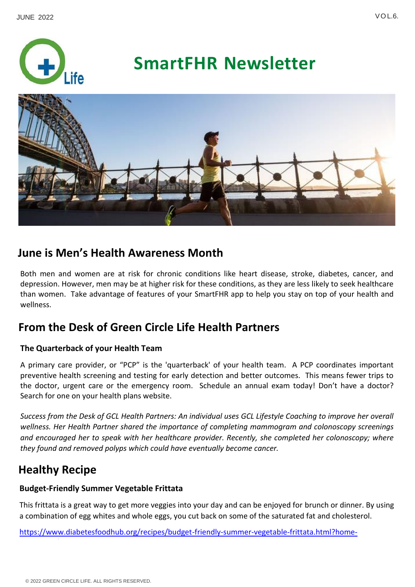

# **SmartFHR Newsletter**



## **June is Men's Health Awareness Month**

Both men and women are at risk for chronic conditions like heart disease, stroke, diabetes, cancer, and depression. However, men may be at higher risk for these conditions, as they are less likely to seek healthcare than women. Take advantage of features of your SmartFHR app to help you stay on top of your health and wellness.

## **From the Desk of Green Circle Life Health Partners**

#### **The Quarterback of your Health Team**

A primary care provider, or "PCP" is the 'quarterback' of your health team. A PCP coordinates important preventive health screening and testing for early detection and better outcomes. This means fewer trips to the doctor, urgent care or the emergency room. Schedule an annual exam today! Don't have a doctor? Search for one on your health plans website.

*Success from the Desk of GCL Health Partners: An individual uses GCL Lifestyle Coaching to improve her overall wellness. Her Health Partner shared the importance of completing mammogram and colonoscopy screenings and encouraged her to speak with her healthcare provider. Recently, she completed her colonoscopy; where they found and removed polyps which could have eventually become cancer.* 

## **Healthy Recipe**

### **Budget-Friendly Summer Vegetable Frittata**

This frittata is a great way to get more veggies into your day and can be enjoyed for brunch or dinner. By using a combination of egg whites and whole eggs, you cut back on some of the saturated fat and cholesterol.

[https://www.diabetesfoodhub.org/recipes/budget-friendly-summer-vegetable-frittata.html?home-](https://www.diabetesfoodhub.org/recipes/budget-friendly-summer-vegetable-frittata.html?home-category_id=1)